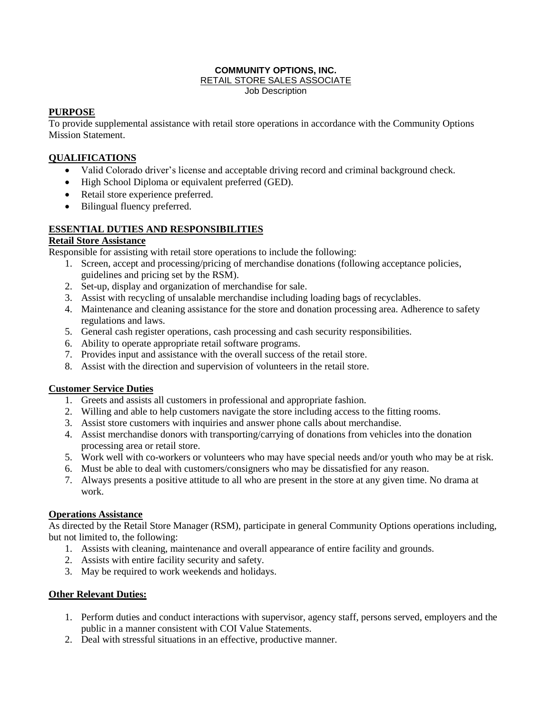#### **COMMUNITY OPTIONS, INC.** RETAIL STORE SALES ASSOCIATE Job Description

# **PURPOSE**

To provide supplemental assistance with retail store operations in accordance with the Community Options Mission Statement.

## **QUALIFICATIONS**

- Valid Colorado driver's license and acceptable driving record and criminal background check.
- High School Diploma or equivalent preferred (GED).
- Retail store experience preferred.
- Bilingual fluency preferred.

## **ESSENTIAL DUTIES AND RESPONSIBILITIES**

### **Retail Store Assistance**

Responsible for assisting with retail store operations to include the following:

- 1. Screen, accept and processing/pricing of merchandise donations (following acceptance policies, guidelines and pricing set by the RSM).
- 2. Set-up, display and organization of merchandise for sale.
- 3. Assist with recycling of unsalable merchandise including loading bags of recyclables.
- 4. Maintenance and cleaning assistance for the store and donation processing area. Adherence to safety regulations and laws.
- 5. General cash register operations, cash processing and cash security responsibilities.
- 6. Ability to operate appropriate retail software programs.
- 7. Provides input and assistance with the overall success of the retail store.
- 8. Assist with the direction and supervision of volunteers in the retail store.

### **Customer Service Duties**

- 1. Greets and assists all customers in professional and appropriate fashion.
- 2. Willing and able to help customers navigate the store including access to the fitting rooms.
- 3. Assist store customers with inquiries and answer phone calls about merchandise.
- 4. Assist merchandise donors with transporting/carrying of donations from vehicles into the donation processing area or retail store.
- 5. Work well with co-workers or volunteers who may have special needs and/or youth who may be at risk.
- 6. Must be able to deal with customers/consigners who may be dissatisfied for any reason.
- 7. Always presents a positive attitude to all who are present in the store at any given time. No drama at work.

# **Operations Assistance**

As directed by the Retail Store Manager (RSM), participate in general Community Options operations including, but not limited to, the following:

- 1. Assists with cleaning, maintenance and overall appearance of entire facility and grounds.
- 2. Assists with entire facility security and safety.
- 3. May be required to work weekends and holidays.

### **Other Relevant Duties:**

- 1. Perform duties and conduct interactions with supervisor, agency staff, persons served, employers and the public in a manner consistent with COI Value Statements.
- 2. Deal with stressful situations in an effective, productive manner.